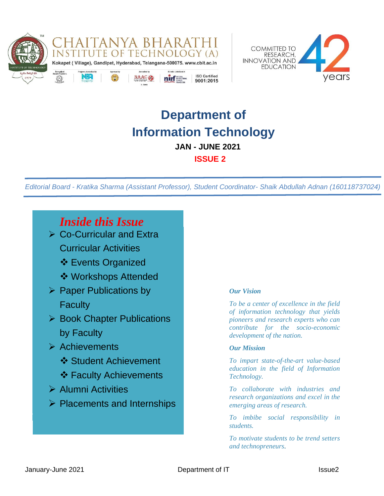



# **Department of Information Technology JAN - JUNE 2021**

 **ISSUE 2**

*Editorial Board - Kratika Sharma (Assistant Professor), Student Coordinator- Shaik Abdullah Adnan (160118737024)*

### *Inside this Issue*

- ➢ Co-Curricular and Extra Curricular Activities
	- ❖ Events Organized
	- ❖ Workshops Attended
- ➢ Paper Publications by **Faculty**
- ➢ Book Chapter Publications by Faculty
- ➢ Achievements
	- ❖ Student Achievement
	- ❖ Faculty Achievements
- ➢ Alumni Activities
- ➢ Placements and Internships

#### *Our Vision*

*To be a center of excellence in the field of information technology that yields pioneers and research experts who can contribute for the socio-economic development of the nation.*

#### *Our Mission*

*To impart state-of-the-art value-based education in the field of Information Technology.*

*To collaborate with industries and research organizations and excel in the emerging areas of research.*

*To imbibe social responsibility in students.*

*To motivate students to be trend setters and technopreneurs.*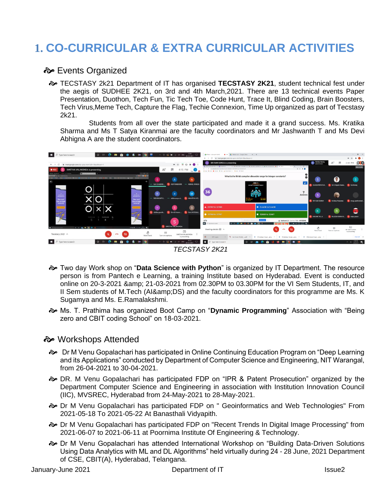## **1. CO-CURRICULAR & EXTRA CURRICULAR ACTIVITIES**

#### $\approx$  **Events Organized**

 TECSTASY 2k21 Department of IT has organised **TECSTASY 2K21**, student technical fest under the aegis of SUDHEE 2K21, on 3rd and 4th March,2021. There are 13 technical events Paper Presentation, Duothon, Tech Fun, Tic Tech Toe, Code Hunt, Trace It, Blind Coding, Brain Boosters, Tech Virus,Meme Tech, Capture the Flag, Techie Connexion, Time Up organized as part of Tecstasy 2k21.

 Students from all over the state participated and made it a grand success. Ms. Kratika Sharma and Ms T Satya Kiranmai are the faculty coordinators and Mr Jashwanth T and Ms Devi Abhigna A are the student coordinators.





- Two day Work shop on "**Data Science with Python**" is organized by IT Department. The resource person is from Pantech e Learning, a training Institute based on Hyderabad. Event is conducted online on 20-3-2021 & 21-03-2021 from 02.30PM to 03.30PM for the VI Sem Students, IT, and II Sem students of M.Tech (AI&DS) and the faculty coordinators for this programme are Ms. K Sugamya and Ms. E.Ramalakshmi.
- Ms. T. Prathima has organized Boot Camp on "**Dynamic Programming**" Association with "Being zero and CBIT coding School" on 18-03-2021.

#### $\div$  Workshops Attended

- Dr M Venu Gopalachari has participated in Online Continuing Education Program on "Deep Learning and its Applications" conducted by Department of Computer Science and Engineering, NIT Warangal, from 26-04-2021 to 30-04-2021.
- DR. M Venu Gopalachari has participated FDP on "IPR & Patent Prosecution" organized by the Department Computer Science and Engineering in association with Institution Innovation Council (IIC), MVSREC, Hyderabad from 24-May-2021 to 28-May-2021.
- Dr M Venu Gopalachari has participated FDP on " Geoinformatics and Web Technologies" From 2021-05-18 To 2021-05-22 At Banasthali Vidyapith.
- Dr M Venu Gopalachari has participated FDP on "Recent Trends In Digital Image Processing" from 2021-06-07 to 2021-06-11 at Poornima Institute Of Engineering & Technology.
- $\approx$  Dr M Venu Gopalachari has attended International Workshop on "Building Data-Driven Solutions Using Data Analytics with ML and DL Algorithms" held virtually during 24 - 28 June, 2021 Department of CSE, CBIT(A), Hyderabad, Telangana.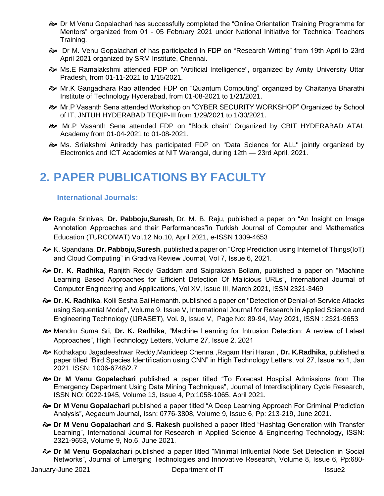- $\approx$  Dr M Venu Gopalachari has successfully completed the "Online Orientation Training Programme for Mentors" organized from 01 - 05 February 2021 under National Initiative for Technical Teachers Training.
- Dr M. Venu Gopalachari of has participated in FDP on "Research Writing" from 19th April to 23rd April 2021 organized by SRM Institute, Chennai.
- Ms.E Ramalakshmi attended FDP on "Artificial Intelligence", organized by Amity University Uttar Pradesh, from 01-11-2021 to 1/15/2021.
- Mr.K Gangadhara Rao attended FDP on "Quantum Computing" organized by Chaitanya Bharathi Institute of Technology Hyderabad, from 01-08-2021 to 1/21/2021.
- Mr.P Vasanth Sena attended Workshop on "CYBER SECURITY WORKSHOP" Organized by School of IT, JNTUH HYDERABAD TEQIP-III from 1/29/2021 to 1/30/2021.
- Mr.P Vasanth Sena attended FDP on "Block chain" Organized by CBIT HYDERABAD ATAL Academy from 01-04-2021 to 01-08-2021.
- Ms. Srilakshmi Anireddy has participated FDP on "Data Science for ALL" jointly organized by Electronics and ICT Academies at NIT Warangal, during 12th — 23rd April, 2021.

### **2. PAPER PUBLICATIONS BY FACULTY**

#### **International Journals:**

- Ragula Srinivas, **Dr. Pabboju,Suresh**, Dr. M. B. Raju, published a paper on "An Insight on Image Annotation Approaches and their Performances"in Turkish Journal of Computer and Mathematics Education (TURCOMAT) Vol.12 No.10, April 2021, e-ISSN 1309-4653
- K. Spandana, **Dr. Pabboju,Suresh**, published a paper on "Crop Prediction using Internet of Things(IoT) and Cloud Computing" in Gradiva Review Journal, Vol 7, Issue 6, 2021.
- **Dr. K. Radhika**, Ranjith Reddy Gaddam and Saiprakash Bollam, published a paper on "Machine Learning Based Approaches for Efficient Detection Of Malicious URLs", International Journal of Computer Engineering and Applications, Vol XV, Issue III, March 2021, ISSN 2321-3469
- **Dr. K. Radhika**, Kolli Sesha Sai Hemanth. published a paper on "Detection of Denial-of-Service Attacks using Sequential Model", Volume 9, Issue V, International Journal for Research in Applied Science and Engineering Technology (IJRASET), Vol. 9, Issue V, Page No: 89-94, May 2021, ISSN : 2321-9653
- Mandru Suma Sri, **Dr. K. Radhika**, "Machine Learning for Intrusion Detection: A review of Latest Approaches", High Technology Letters, Volume 27, Issue 2, 2021
- Kothakapu Jagadeeshwar Reddy,Manideep Chenna ,Ragam Hari Haran , **Dr. K.Radhika**, published a paper titled "Bird Species Identification using CNN" in High Technology Letters, vol 27, Issue no.1, Jan 2021, ISSN: 1006-6748/2.7
- **Dr M Venu Gopalachari** published a paper titled "To Forecast Hospital Admissions from The Emergency Department Using Data Mining Techniques", Journal of Interdisciplinary Cycle Research, ISSN NO: 0022-1945, Volume 13, Issue 4, Pp:1058-1065, April 2021.
- **Dr M Venu Gopalachari** published a paper titled "A Deep Learning Approach For Criminal Prediction Analysis", Aegaeum Journal, Issn: 0776-3808, Volume 9, Issue 6, Pp: 213-219, June 2021.
- **Dr M Venu Gopalachari** and **S. Rakesh** published a paper titled "Hashtag Generation with Transfer Learning", International Journal for Research in Applied Science & Engineering Technology, ISSN: 2321-9653, Volume 9, No.6, June 2021.
- **Dr M Venu Gopalachari** published a paper titled "Minimal Influential Node Set Detection in Social Networks", Journal of Emerging Technologies and Innovative Research, Volume 8, Issue 6, Pp:680-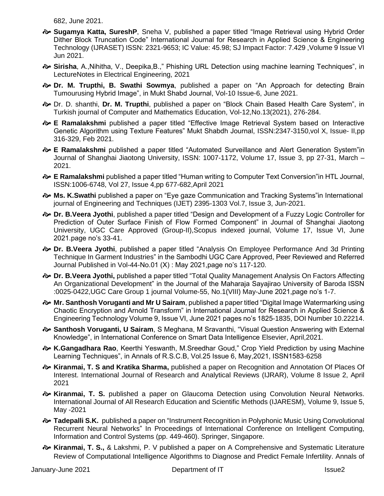682, June 2021.

- **Sugamya Katta, SureshP**, Sneha V, published a paper titled "Image Retrieval using Hybrid Order Dither Block Truncation Code" International Journal for Research in Applied Science & Engineering Technology (IJRASET) ISSN: 2321-9653; IC Value: 45.98; SJ Impact Factor: 7.429 ,Volume 9 Issue VI Jun 2021.
- **Sirisha**, A.,Nihitha, V., Deepika,B.," Phishing URL Detection using machine learning Techniques", in LectureNotes in Electrical Engineering, 2021
- **Dr. M. Trupthi, B. Swathi Sowmya**, published a paper on "An Approach for detecting Brain Tumourusing Hybrid Image", in Mukt Shabd Journal, Vol-10 Issue-6, June 2021.
- Dr. D. shanthi, **Dr. M. Trupthi**, published a paper on "Block Chain Based Health Care System", in Turkish journal of Computer and Mathematics Education, Vol-12,No.13(2021), 276-284.
- **E Ramalakshmi** published a paper titled "Effective Image Retrieval System based on Interactive Genetic Algorithm using Texture Features" Mukt Shabdh Journal, ISSN:2347-3150,vol X, Issue- II,pp 316-329, Feb 2021.
- **E Ramalakshmi** published a paper titled "Automated Surveillance and Alert Generation System"in Journal of Shanghai Jiaotong University, ISSN: 1007-1172, Volume 17, Issue 3, pp 27-31, March – 2021.
- **E Ramalakshmi** published a paper titled "Human writing to Computer Text Conversion"in HTL Journal, ISSN:1006-6748, Vol 27, Issue 4,pp 677-682,April 2021
- **Ms. K.Swathi** published a paper on "Eye gaze Communication and Tracking Systems"in International journal of Engineering and Techniques (IJET) 2395-1303 Vol.7, Issue 3, Jun-2021.
- **Dr. B.Veera Jyothi**, published a paper titled "Design and Development of a Fuzzy Logic Controller for Prediction of Outer Surface Finish of Flow Formed Component" in Journal of Shanghai Jiaotong University, UGC Care Approved (Group-II),Scopus indexed journal, Volume 17, Issue VI, June 2021.page no's 33-41.
- **Dr. B.Veera Jyothi**, published a paper titled "Analysis On Employee Performance And 3d Printing Technique In Garment Industries" in the Sambodhi UGC Care Approved, Peer Reviewed and Referred Journal Published in Vol-44-No.01 (X) : May 2021,page no's 117-120.
- **Dr. B.Veera Jyothi,** published a paper titled "Total Quality Management Analysis On Factors Affecting An Organizational Development" in the Journal of the Maharaja Sayajirao University of Baroda ISSN :0025-0422,UGC Care Group 1 journal Volume-55, No.1(VIII) May-June 2021,page no's 1-7.
- **Mr. Santhosh Voruganti and Mr U Sairam**, published a paper titled "Digital Image Watermarking using Chaotic Encryption and Arnold Transform" in International Journal for Research in Applied Science & Engineering Technology Volume 9, Issue VI, June 2021 pages no's 1825-1835, DOI Number 10.22214.
- **Santhosh Voruganti, U Sairam**, S Meghana, M Sravanthi, "Visual Question Answering with External Knowledge", in International Conference on Smart Data Intelligence Elsevier, April,2021.
- **K.Gangadhara Rao**, Keerthi Yeswanth, M.Sreedhar Goud," Crop Yield Prediction by using Machine Learning Techniques", in Annals of R.S.C.B, Vol.25 Issue 6, May,2021, ISSN1583-6258
- **Kiranmai, T. S and Kratika Sharma,** published a paper on Recognition and Annotation Of Places Of Interest. International Journal of Research and Analytical Reviews (IJRAR), Volume 8 Issue 2, April 2021
- **Kiranmai, T. S.** published a paper on Glaucoma Detection using Convolution Neural Networks. International Journal of All Research Education and Scientific Methods (IJARESM), Volume 9, Issue 5, May -2021
- **Tadepalli S.K.** published a paper on "Instrument Recognition in Polyphonic Music Using Convolutional Recurrent Neural Networks" In Proceedings of International Conference on Intelligent Computing, Information and Control Systems (pp. 449-460). Springer, Singapore.
- **Kiranmai, T. S.,** & Lakshmi, P. V published a paper on A Comprehensive and Systematic Literature Review of Computational Intelligence Algorithms to Diagnose and Predict Female Infertility. Annals of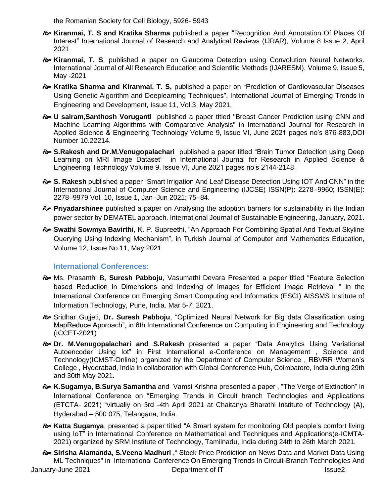the Romanian Society for Cell Biology, 5926- 5943

- **Kiranmai, T. S and Kratika Sharma** published a paper "Recognition And Annotation Of Places Of Interest" International Journal of Research and Analytical Reviews (IJRAR), Volume 8 Issue 2, April 2021
- **Kiranmai, T. S**, published a paper on Glaucoma Detection using Convolution Neural Networks. International Journal of All Research Education and Scientific Methods (IJARESM), Volume 9, Issue 5, May -2021
- **Kratika Sharma and Kiranmai, T. S,** published a paper on "Prediction of Cardiovascular Diseases Using Genetic Algorithm and Deeplearning Techniques", International Journal of Emerging Trends in Engineering and Development, Issue 11, Vol.3, May 2021.
- **U sairam,Santhosh Voruganti** published a paper titled "Breast Cancer Prediction using CNN and Machine Learning Algorithms with Comparative Analysis" in International Journal for Research in Applied Science & Engineering Technology Volume 9, Issue VI, June 2021 pages no's 876-883,DOI Number 10.22214.
- **S.Rakesh and Dr.M.Venugopalachari** published a paper titled "Brain Tumor Detection using Deep Learning on MRI Image Dataset" in International Journal for Research in Applied Science & Engineering Technology Volume 9, Issue VI, June 2021 pages no's 2144-2148.
- **S. Rakesh** published a paper "Smart Irrigation And Leaf Disease Detection Using IOT And CNN" in the International Journal of Computer Science and Engineering (IJCSE) ISSN(P): 2278–9960; ISSN(E): 2278–9979 Vol. 10, Issue 1, Jan–Jun 2021; 75–84.
- **Priyadarshinee** published a paper on Analysing the adoption barriers for sustainability in the Indian power sector by DEMATEL approach. International Journal of Sustainable Engineering, January, 2021.
- **Swathi Sowmya Bavirthi**, K. P. Supreethi, "An Approach For Combining Spatial And Textual Skyline Querying Using Indexing Mechanism", in Turkish Journal of Computer and Mathematics Education, Volume 12, Issue No.11, May 2021

#### **International Conferences:**

- Ms. Prasanthi B, **Suresh Pabboju**, Vasumathi Devara Presented a paper titled "Feature Selection based Reduction in Dimensions and Indexing of Images for Efficient Image Retrieval " in the International Conference on Emerging Smart Computing and Informatics (ESCI) AISSMS Institute of Information Technology, Pune, India. Mar 5-7, 2021.
- Sridhar Gujjeti, **Dr. Suresh Pabboju**, "Optimized Neural Network for Big data Classification using MapReduce Approach", in 6th International Conference on Computing in Engineering and Technology (ICCET-2021)
- **Dr. M.Venugopalachari and S.Rakesh** presented a paper "Data Analytics Using Variational Autoencoder Using Iot" in First International e-Conference on Management , Science and Technology(ICMST-Online) organized by the Department of Computer Science , RBVRR Women's College , Hyderabad, India in collaboration with Global Conference Hub, Coimbatore, India during 29th and 30th May 2021.
- **K.Sugamya, B.Surya Samantha** and Vamsi Krishna presented a paper , "The Verge of Extinction" in International Conference on "Emerging Trends in Circuit branch Technologies and Applications (ETCTA- 2021) "virtually on 3rd -4th April 2021 at Chaitanya Bharathi Institute of Technology (A), Hyderabad – 500 075, Telangana, India.
- **Katta Sugamya**, presented a paper titled "A Smart system for monitoring Old people's comfort living using IoT" in International Conference on Mathematical and Techniques and Applications(e-ICMTA-2021) organized by SRM Institute of Technology, Tamilnadu, India during 24th to 26th March 2021.
- January-June 2021 **Department of IT** Issue2  $\approx$  **Sirisha Alamanda, S.Veena Madhuri**, "Stock Price Prediction on News Data and Market Data Using ML Techniques" in International Conference On Emerging Trends In Circuit-Branch Technologies And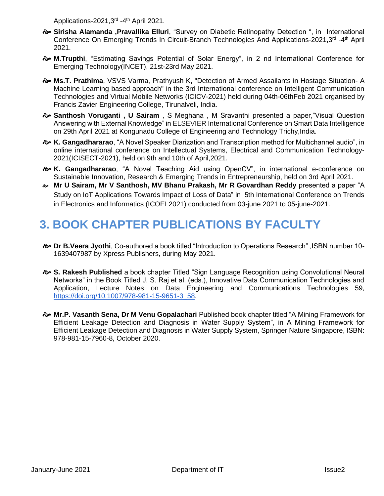Applications-2021,3<sup>rd</sup> -4<sup>th</sup> April 2021.

- **Sirisha Alamanda ,Pravallika Elluri**, "Survey on Diabetic Retinopathy Detection ", in International Conference On Emerging Trends In Circuit-Branch Technologies And Applications-2021,3<sup>rd</sup> -4<sup>th</sup> April 2021.
- **M.Trupthi**, "Estimating Savings Potential of Solar Energy", in 2 nd International Conference for Emerging Technology(INCET), 21st-23rd May 2021.
- **Ms.T. Prathima**, VSVS Varma, Prathyush K, "Detection of Armed Assailants in Hostage Situation- A Machine Learning based approach" in the 3rd International conference on Intelligent Communication Technologies and Virtual Mobile Networks (ICICV-2021) held during 04th-06thFeb 2021 organised by Francis Zavier Engineering College, Tirunalveli, India.
- **Santhosh Voruganti , U Sairam** , S Meghana , M Sravanthi presented a paper,"Visual Question Answering with External Knowledge" in ELSEVIER International Conference on Smart Data Intelligence on 29th April 2021 at Kongunadu College of Engineering and Technology Trichy,India.
- **K. Gangadhararao**, "A Novel Speaker Diarization and Transcription method for Multichannel audio", in online international conference on Intellectual Systems, Electrical and Communication Technology-2021(ICISECT-2021), held on 9th and 10th of April,2021.
- **K. Gangadhararao**, "A Novel Teaching Aid using OpenCV", in international e-conference on Sustainable Innovation, Research & Emerging Trends in Entrepreneurship, held on 3rd April 2021.
- **Mr U Sairam, Mr V Santhosh, MV Bhanu Prakash, Mr R Govardhan Reddy** presented a paper "A Study on IoT Applications Towards Impact of Loss of Data" in 5th International Conference on Trends in Electronics and Informatics (ICOEI 2021) conducted from 03-june 2021 to 05-june-2021.

## **3. BOOK CHAPTER PUBLICATIONS BY FACULTY**

- **Dr B.Veera Jyothi**, Co-authored a book titled "Introduction to Operations Research" ,ISBN number 10- 1639407987 by Xpress Publishers, during May 2021.
- **S. Rakesh Published** a book chapter Titled "Sign Language Recognition using Convolutional Neural Networks" in the Book Titled J. S. Raj et al. (eds.), Innovative Data Communication Technologies and Application, Lecture Notes on Data Engineering and Communications Technologies 59, [https://doi.org/10.1007/978-981-15-9651-3\\_58.](https://doi.org/10.1007/978-981-15-9651-3_58)
- **Mr.P. Vasanth Sena, Dr M Venu Gopalachari** Published book chapter titled "A Mining Framework for Efficient Leakage Detection and Diagnosis in Water Supply System", in A Mining Framework for Efficient Leakage Detection and Diagnosis in Water Supply System, Springer Nature Singapore, ISBN: 978-981-15-7960-8, October 2020.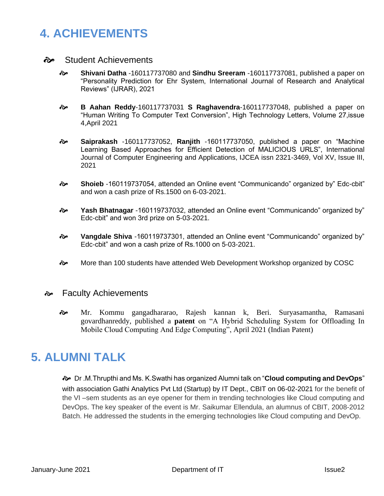## **4. ACHIEVEMENTS**

- Student Achievements
	- **Shivani Datha** -160117737080 and **Sindhu Sreeram** -160117737081, published a paper on "Personality Prediction for Ehr System, International Journal of Research and Analytical Reviews" (IJRAR), 2021
	- **B Aahan Reddy**-160117737031 **S Raghavendra**-160117737048, published a paper on "Human Writing To Computer Text Conversion", High Technology Letters, Volume 27,issue 4,April 2021
	- **Saiprakash** -160117737052, **Ranjith** -160117737050, published a paper on "Machine Learning Based Approaches for Efficient Detection of MALICIOUS URLS", International Journal of Computer Engineering and Applications, IJCEA issn 2321-3469, Vol XV, Issue III, 2021
	- **Shoieb** -160119737054, attended an Online event "Communicando" organized by" Edc-cbit" and won a cash prize of Rs.1500 on 6-03-2021.
	- **Yash Bhatnagar** -160119737032, attended an Online event "Communicando" organized by" Edc-cbit" and won 3rd prize on 5-03-2021.
	- **Vangdale Shiva** -160119737301, attended an Online event "Communicando" organized by" Edc-cbit" and won a cash prize of Rs.1000 on 5-03-2021.
	- More than 100 students have attended Web Development Workshop organized by COSC

#### **→** Faculty Achievements

 Mr. Kommu gangadhararao, Rajesh kannan k, Beri. Suryasamantha, Ramasani govardhanreddy, published a **patent** on "A Hybrid Scheduling System for Offloading In Mobile Cloud Computing And Edge Computing", April 2021 (Indian Patent)

### **5. ALUMNI TALK**

 Dr .M.Thrupthi and Ms. K.Swathi has organized Alumni talk on "**Cloud computing and DevOps**" with association Gathi Analytics Pvt Ltd (Startup) by IT Dept., CBIT on 06-02-2021 for the benefit of the VI –sem students as an eye opener for them in trending technologies like Cloud computing and DevOps. The key speaker of the event is Mr. Saikumar Ellendula, an alumnus of CBIT, 2008-2012 Batch. He addressed the students in the emerging technologies like Cloud computing and DevOp.